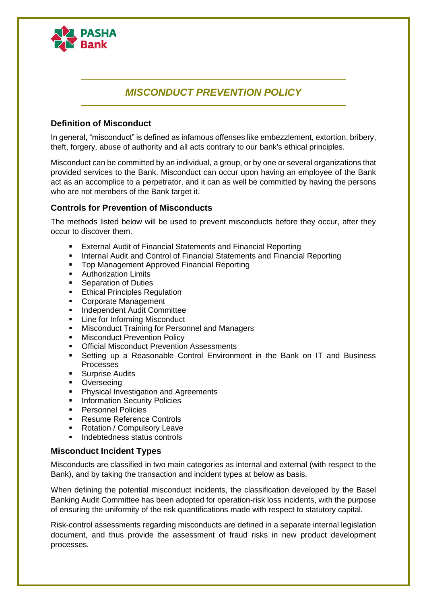

# *MISCONDUCT PREVENTION POLICY*

### **Definition of Misconduct**

In general, "misconduct" is defined as infamous offenses like embezzlement, extortion, bribery, theft, forgery, abuse of authority and all acts contrary to our bank's ethical principles.

Misconduct can be committed by an individual, a group, or by one or several organizations that provided services to the Bank. Misconduct can occur upon having an employee of the Bank act as an accomplice to a perpetrator, and it can as well be committed by having the persons who are not members of the Bank target it.

## **Controls for Prevention of Misconducts**

The methods listed below will be used to prevent misconducts before they occur, after they occur to discover them.

- External Audit of Financial Statements and Financial Reporting
- **■** Internal Audit and Control of Financial Statements and Financial Reporting
- Top Management Approved Financial Reporting
- Authorization Limits
- Separation of Duties
- **Ethical Principles Regulation**
- Corporate Management
- **■** Independent Audit Committee
- Line for Informing Misconduct
- Misconduct Training for Personnel and Managers
- **Misconduct Prevention Policy**
- **Official Misconduct Prevention Assessments**
- Setting up a Reasonable Control Environment in the Bank on IT and Business Processes
- Surprise Audits
- **•** Overseeing
- Physical Investigation and Agreements
- **Information Security Policies**
- Personnel Policies
- **Resume Reference Controls**
- Rotation / Compulsory Leave
- Indebtedness status controls

#### **Misconduct Incident Types**

Misconducts are classified in two main categories as internal and external (with respect to the Bank), and by taking the transaction and incident types at below as basis.

When defining the potential misconduct incidents, the classification developed by the Basel Banking Audit Committee has been adopted for operation-risk loss incidents, with the purpose of ensuring the uniformity of the risk quantifications made with respect to statutory capital.

Risk-control assessments regarding misconducts are defined in a separate internal legislation document, and thus provide the assessment of fraud risks in new product development processes.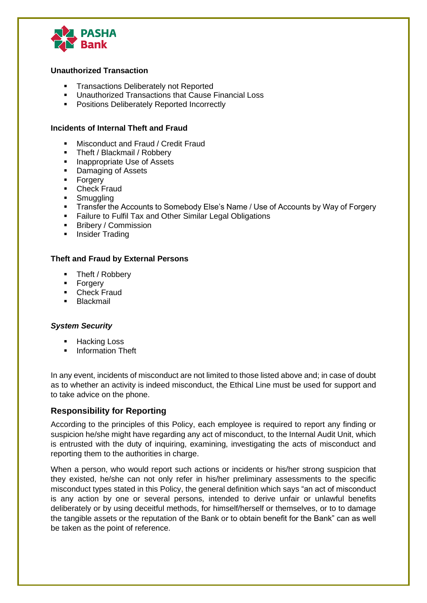

#### **Unauthorized Transaction**

- Transactions Deliberately not Reported
- Unauthorized Transactions that Cause Financial Loss
- Positions Deliberately Reported Incorrectly

#### **Incidents of Internal Theft and Fraud**

- Misconduct and Fraud / Credit Fraud
- Theft / Blackmail / Robbery
- Inappropriate Use of Assets
- Damaging of Assets
- Forgery<br>■ Check F
- **Check Fraud**
- **•** Smuggling
- Transfer the Accounts to Somebody Else's Name / Use of Accounts by Way of Forgery
- Failure to Fulfil Tax and Other Similar Legal Obligations
- Bribery / Commission
- **·** Insider Trading

#### **Theft and Fraud by External Persons**

- Theft / Robbery
- **Forgery**
- Check Fraud
- **•** Blackmail

#### *System Security*

- Hacking Loss
- **■** Information Theft

In any event, incidents of misconduct are not limited to those listed above and; in case of doubt as to whether an activity is indeed misconduct, the Ethical Line must be used for support and to take advice on the phone.

## **Responsibility for Reporting**

According to the principles of this Policy, each employee is required to report any finding or suspicion he/she might have regarding any act of misconduct, to the Internal Audit Unit, which is entrusted with the duty of inquiring, examining, investigating the acts of misconduct and reporting them to the authorities in charge.

When a person, who would report such actions or incidents or his/her strong suspicion that they existed, he/she can not only refer in his/her preliminary assessments to the specific misconduct types stated in this Policy, the general definition which says "an act of misconduct is any action by one or several persons, intended to derive unfair or unlawful benefits deliberately or by using deceitful methods, for himself/herself or themselves, or to to damage the tangible assets or the reputation of the Bank or to obtain benefit for the Bank" can as well be taken as the point of reference.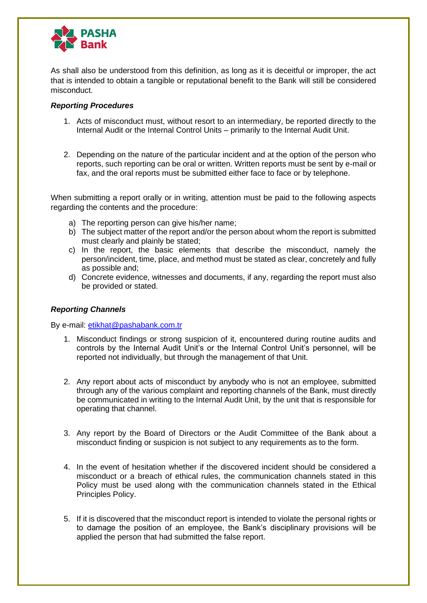

As shall also be understood from this definition, as long as it is deceitful or improper, the act that is intended to obtain a tangible or reputational benefit to the Bank will still be considered misconduct.

#### *Reporting Procedures*

- 1. Acts of misconduct must, without resort to an intermediary, be reported directly to the Internal Audit or the Internal Control Units – primarily to the Internal Audit Unit.
- 2. Depending on the nature of the particular incident and at the option of the person who reports, such reporting can be oral or written. Written reports must be sent by e-mail or fax, and the oral reports must be submitted either face to face or by telephone.

When submitting a report orally or in writing, attention must be paid to the following aspects regarding the contents and the procedure:

- a) The reporting person can give his/her name;
- b) The subject matter of the report and/or the person about whom the report is submitted must clearly and plainly be stated;
- c) In the report, the basic elements that describe the misconduct, namely the person/incident, time, place, and method must be stated as clear, concretely and fully as possible and;
- d) Concrete evidence, witnesses and documents, if any, regarding the report must also be provided or stated.

#### *Reporting Channels*

By e-mail: [etikhat@pashabank.com.tr](mailto:etikhat@pashabank.com.tr)

- 1. Misconduct findings or strong suspicion of it, encountered during routine audits and controls by the Internal Audit Unit's or the Internal Control Unit's personnel, will be reported not individually, but through the management of that Unit.
- 2. Any report about acts of misconduct by anybody who is not an employee, submitted through any of the various complaint and reporting channels of the Bank, must directly be communicated in writing to the Internal Audit Unit, by the unit that is responsible for operating that channel.
- 3. Any report by the Board of Directors or the Audit Committee of the Bank about a misconduct finding or suspicion is not subject to any requirements as to the form.
- 4. In the event of hesitation whether if the discovered incident should be considered a misconduct or a breach of ethical rules, the communication channels stated in this Policy must be used along with the communication channels stated in the Ethical Principles Policy.
- 5. If it is discovered that the misconduct report is intended to violate the personal rights or to damage the position of an employee, the Bank's disciplinary provisions will be applied the person that had submitted the false report.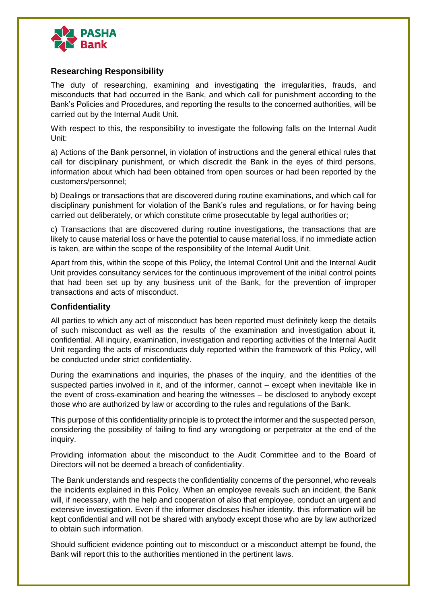

## **Researching Responsibility**

The duty of researching, examining and investigating the irregularities, frauds, and misconducts that had occurred in the Bank, and which call for punishment according to the Bank's Policies and Procedures, and reporting the results to the concerned authorities, will be carried out by the Internal Audit Unit.

With respect to this, the responsibility to investigate the following falls on the Internal Audit Unit:

a) Actions of the Bank personnel, in violation of instructions and the general ethical rules that call for disciplinary punishment, or which discredit the Bank in the eyes of third persons, information about which had been obtained from open sources or had been reported by the customers/personnel;

b) Dealings or transactions that are discovered during routine examinations, and which call for disciplinary punishment for violation of the Bank's rules and regulations, or for having being carried out deliberately, or which constitute crime prosecutable by legal authorities or;

c) Transactions that are discovered during routine investigations, the transactions that are likely to cause material loss or have the potential to cause material loss, if no immediate action is taken, are within the scope of the responsibility of the Internal Audit Unit.

Apart from this, within the scope of this Policy, the Internal Control Unit and the Internal Audit Unit provides consultancy services for the continuous improvement of the initial control points that had been set up by any business unit of the Bank, for the prevention of improper transactions and acts of misconduct.

## **Confidentiality**

All parties to which any act of misconduct has been reported must definitely keep the details of such misconduct as well as the results of the examination and investigation about it, confidential. All inquiry, examination, investigation and reporting activities of the Internal Audit Unit regarding the acts of misconducts duly reported within the framework of this Policy, will be conducted under strict confidentiality.

During the examinations and inquiries, the phases of the inquiry, and the identities of the suspected parties involved in it, and of the informer, cannot – except when inevitable like in the event of cross-examination and hearing the witnesses – be disclosed to anybody except those who are authorized by law or according to the rules and regulations of the Bank.

This purpose of this confidentiality principle is to protect the informer and the suspected person, considering the possibility of failing to find any wrongdoing or perpetrator at the end of the inquiry.

Providing information about the misconduct to the Audit Committee and to the Board of Directors will not be deemed a breach of confidentiality.

The Bank understands and respects the confidentiality concerns of the personnel, who reveals the incidents explained in this Policy. When an employee reveals such an incident, the Bank will, if necessary, with the help and cooperation of also that employee, conduct an urgent and extensive investigation. Even if the informer discloses his/her identity, this information will be kept confidential and will not be shared with anybody except those who are by law authorized to obtain such information.

Should sufficient evidence pointing out to misconduct or a misconduct attempt be found, the Bank will report this to the authorities mentioned in the pertinent laws.